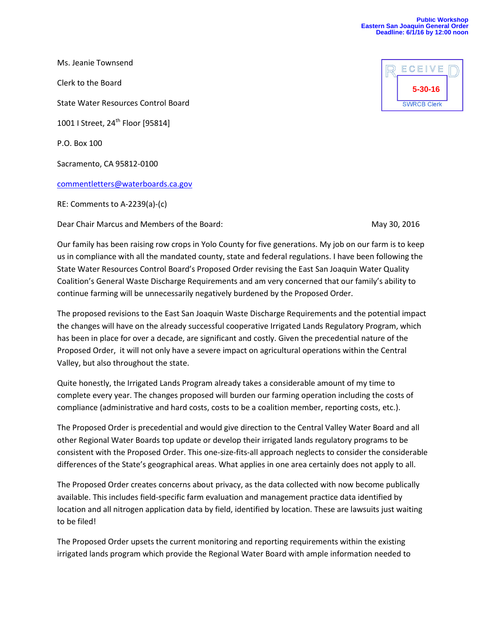## **Public Workshop Eastern San Joaquin General Order Deadline: 6/1/16 by 12:00 noon**

Ms. Jeanie Townsend Clerk to the Board State Water Resources Control Board 1001 | Street, 24<sup>th</sup> Floor [95814] P.O. Box 100 Sacramento, CA 95812-0100 [commentletters@waterboards.ca.gov](mailto:commentletters@waterboards.ca.gov) RE: Comments to A-2239(a)-(c)

Dear Chair Marcus and Members of the Board: May 30, 2016

Our family has been raising row crops in Yolo County for five generations. My job on our farm is to keep us in compliance with all the mandated county, state and federal regulations. I have been following the State Water Resources Control Board's Proposed Order revising the East San Joaquin Water Quality Coalition's General Waste Discharge Requirements and am very concerned that our family's ability to continue farming will be unnecessarily negatively burdened by the Proposed Order.

The proposed revisions to the East San Joaquin Waste Discharge Requirements and the potential impact the changes will have on the already successful cooperative Irrigated Lands Regulatory Program, which has been in place for over a decade, are significant and costly. Given the precedential nature of the Proposed Order, it will not only have a severe impact on agricultural operations within the Central Valley, but also throughout the state.

Quite honestly, the Irrigated Lands Program already takes a considerable amount of my time to complete every year. The changes proposed will burden our farming operation including the costs of compliance (administrative and hard costs, costs to be a coalition member, reporting costs, etc.).

The Proposed Order is precedential and would give direction to the Central Valley Water Board and all other Regional Water Boards top update or develop their irrigated lands regulatory programs to be consistent with the Proposed Order. This one-size-fits-all approach neglects to consider the considerable differences of the State's geographical areas. What applies in one area certainly does not apply to all.

The Proposed Order creates concerns about privacy, as the data collected with now become publically available. This includes field-specific farm evaluation and management practice data identified by location and all nitrogen application data by field, identified by location. These are lawsuits just waiting to be filed!

The Proposed Order upsets the current monitoring and reporting requirements within the existing irrigated lands program which provide the Regional Water Board with ample information needed to